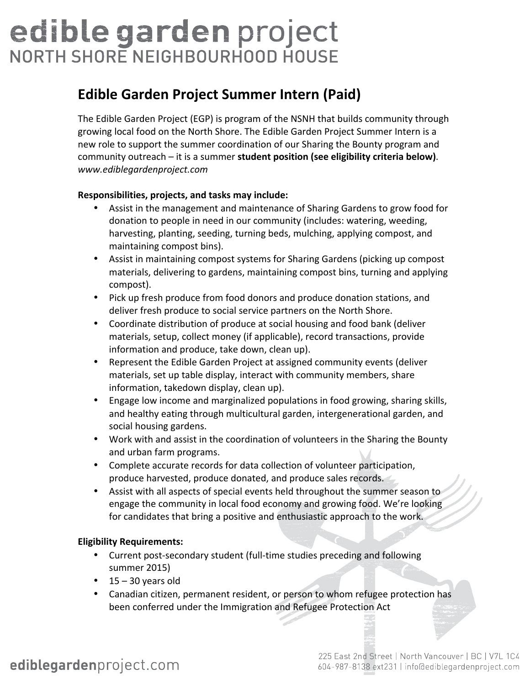# edible garden project NORTH SHORE NEIGHBOURHOOD HOUSE

## **Edible Garden Project Summer Intern (Paid)**

The Edible Garden Project (EGP) is program of the NSNH that builds community through growing local food on the North Shore. The Edible Garden Project Summer Intern is a new role to support the summer coordination of our Sharing the Bounty program and community outreach – it is a summer student position (see eligibility criteria below). *www.ediblegardenproject.com*

### Responsibilities, projects, and tasks may include:

- Assist in the management and maintenance of Sharing Gardens to grow food for donation to people in need in our community (includes: watering, weeding, harvesting, planting, seeding, turning beds, mulching, applying compost, and maintaining compost bins).
- Assist in maintaining compost systems for Sharing Gardens (picking up compost materials, delivering to gardens, maintaining compost bins, turning and applying compost).
- Pick up fresh produce from food donors and produce donation stations, and deliver fresh produce to social service partners on the North Shore.
- Coordinate distribution of produce at social housing and food bank (deliver materials, setup, collect money (if applicable), record transactions, provide information and produce, take down, clean up).
- Represent the Edible Garden Project at assigned community events (deliver materials, set up table display, interact with community members, share information, takedown display, clean up).
- Engage low income and marginalized populations in food growing, sharing skills, and healthy eating through multicultural garden, intergenerational garden, and social housing gardens.
- Work with and assist in the coordination of volunteers in the Sharing the Bounty and urban farm programs.
- Complete accurate records for data collection of volunteer participation, produce harvested, produce donated, and produce sales records.
- Assist with all aspects of special events held throughout the summer season to engage the community in local food economy and growing food. We're looking for candidates that bring a positive and enthusiastic approach to the work.

### **Eligibility Requirements:**

- Current post-secondary student (full-time studies preceding and following summer 2015)
- $15 30$  years old
- Canadian citizen, permanent resident, or person to whom refugee protection has been conferred under the Immigration and Refugee Protection Act

# ediblegardenproject.com